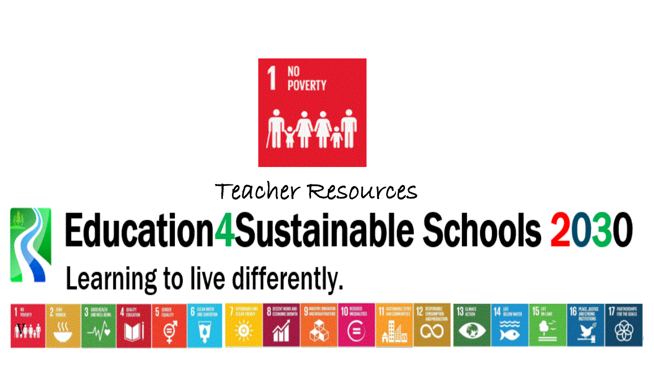

#### Teacher Resources

## **Education4Sustainable Schools 2030**<br>Learning to live differently.

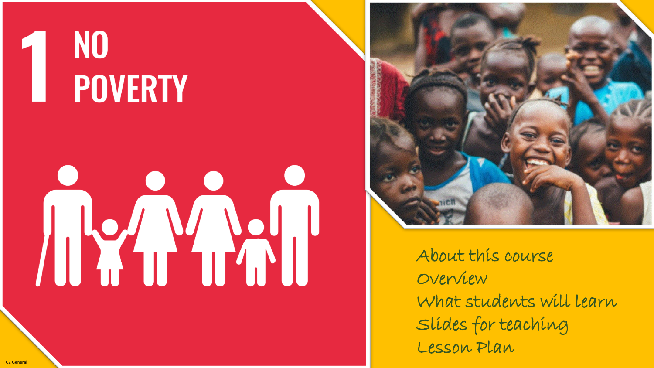## T NO<br>POVERTY

# 



About this course Overview What students will learn Slides for teaching Lesson Plan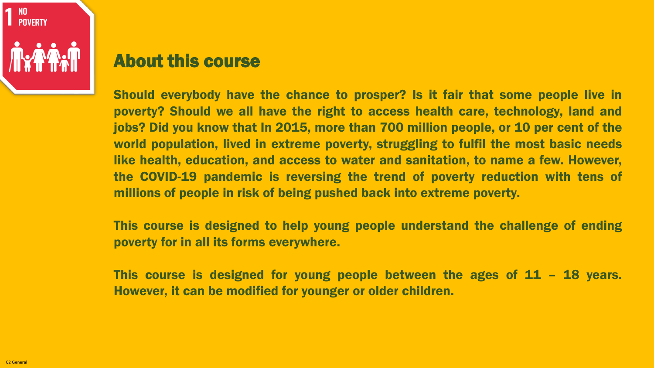

#### About this course

Should everybody have the chance to prosper? Is it fair that some people live in poverty? Should we all have the right to access health care, technology, land and jobs? Did you know that In 2015, more than 700 million people, or 10 per cent of the world population, lived in extreme poverty, struggling to fulfil the most basic needs like health, education, and access to water and sanitation, to name a few. However, the COVID-19 pandemic is reversing the trend of poverty reduction with tens of millions of people in risk of being pushed back into extreme poverty.

This course is designed to help young people understand the challenge of ending poverty for in all its forms everywhere.

This course is designed for young people between the ages of 11 - 18 years. However, it can be modified for younger or older children.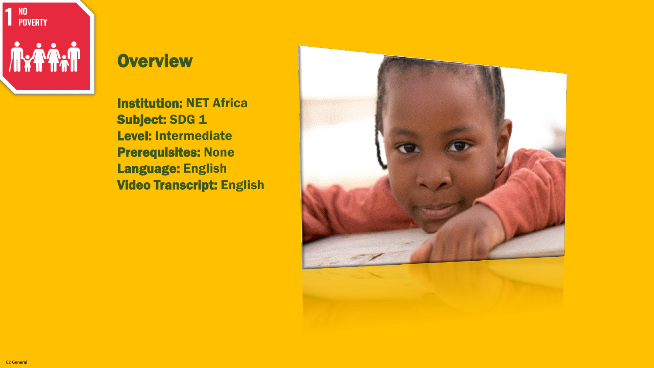

#### **Overview**

Institution: NET Africa Subject: SDG 1 Level: Intermediate Prerequisites: None Language: English Video Transcript: English

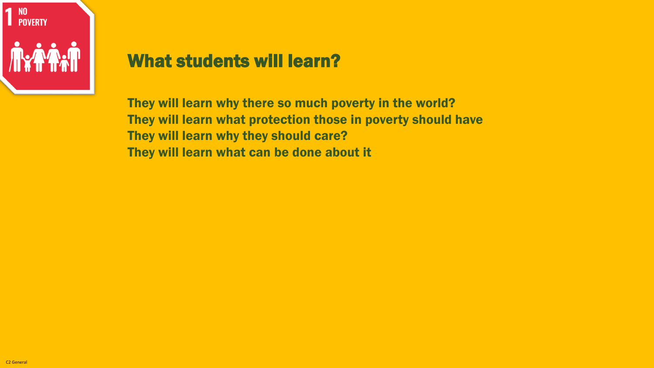

#### What students will learn?

They will learn why there so much poverty in the world? They will learn what protection those in poverty should have They will learn why they should care? They will learn what can be done about it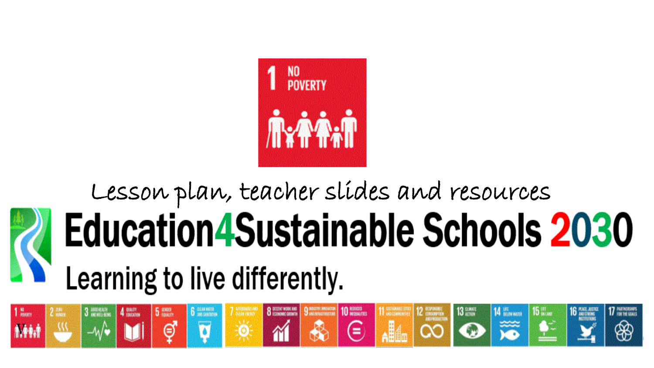

### Lesson plan, teacher slides and resourcesEducation4Sustainable Schools 2030<br>Learning to live differently.